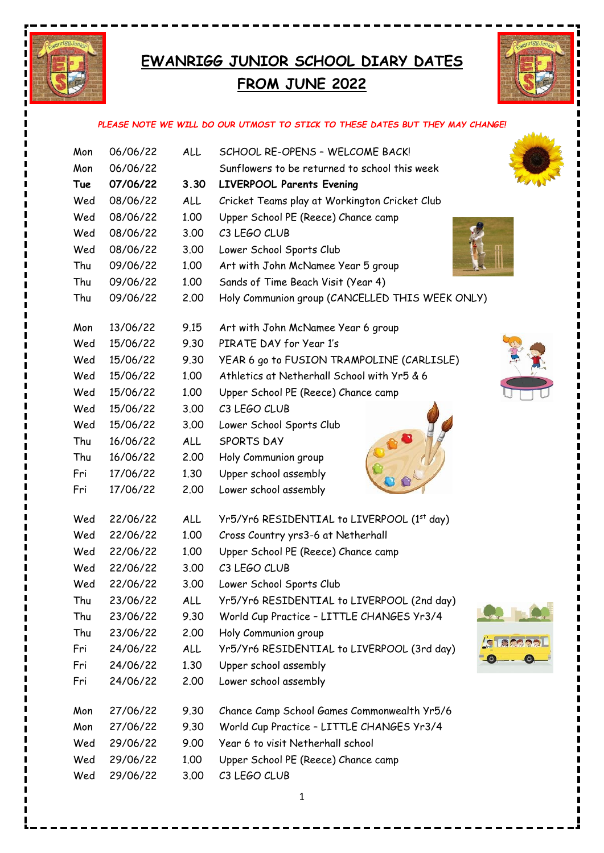

## **EWANRIGG JUNIOR SCHOOL DIARY DATES FROM JUNE 2022**



## *PLEASE NOTE WE WILL DO OUR UTMOST TO STICK TO THESE DATES BUT THEY MAY CHANGE!*

| Mon | 06/06/22 | ALL        | SCHOOL RE-OPENS - WELCOME BACK!                 |
|-----|----------|------------|-------------------------------------------------|
| Mon | 06/06/22 |            | Sunflowers to be returned to school this week   |
| Tue | 07/06/22 | 3.30       | <b>LIVERPOOL Parents Evening</b>                |
| Wed | 08/06/22 | ALL        | Cricket Teams play at Workington Cricket Club   |
| Wed | 08/06/22 | 1.00       | Upper School PE (Reece) Chance camp             |
| Wed | 08/06/22 | 3.00       | C3 LEGO CLUB                                    |
| Wed | 08/06/22 | 3.00       | Lower School Sports Club                        |
| Thu | 09/06/22 | 1.00       | Art with John McNamee Year 5 group              |
| Thu | 09/06/22 | 1.00       | Sands of Time Beach Visit (Year 4)              |
| Thu | 09/06/22 | 2.00       | Holy Communion group (CANCELLED THIS WEEK ONLY) |
|     |          |            |                                                 |
| Mon | 13/06/22 | 9.15       | Art with John McNamee Year 6 group              |
| Wed | 15/06/22 | 9.30       | PIRATE DAY for Year 1's                         |
| Wed | 15/06/22 | 9.30       | YEAR 6 go to FUSION TRAMPOLINE (CARLISLE)       |
| Wed | 15/06/22 | 1.00       | Athletics at Netherhall School with Yr5 & 6     |
| Wed | 15/06/22 | 1.00       | Upper School PE (Reece) Chance camp             |
| Wed | 15/06/22 | 3.00       | C3 LEGO CLUB                                    |
| Wed | 15/06/22 | 3.00       | Lower School Sports Club                        |
| Thu | 16/06/22 | ALL        | <b>SPORTS DAY</b>                               |
| Thu | 16/06/22 | 2.00       | Holy Communion group                            |
| Fri | 17/06/22 | 1.30       | Upper school assembly                           |
| Fri | 17/06/22 | 2.00       | Lower school assembly                           |
| Wed | 22/06/22 | ALL        | Yr5/Yr6 RESIDENTIAL to LIVERPOOL (1st day)      |
| Wed | 22/06/22 | 1.00       | Cross Country yrs3-6 at Netherhall              |
| Wed | 22/06/22 | 1.00       | Upper School PE (Reece) Chance camp             |
| Wed | 22/06/22 | 3.00       | C3 LEGO CLUB                                    |
| Wed | 22/06/22 | 3.00       | Lower School Sports Club                        |
| Thu | 23/06/22 | <b>ALL</b> | Yr5/Yr6 RESIDENTIAL to LIVERPOOL (2nd day)      |
| Thu | 23/06/22 | 9.30       | World Cup Practice - LITTLE CHANGES Yr3/4       |
| Thu | 23/06/22 | 2.00       | Holy Communion group                            |
| Fri | 24/06/22 | ALL        | Yr5/Yr6 RESIDENTIAL to LIVERPOOL (3rd day)      |
| Fri | 24/06/22 | 1.30       | $\circ$<br>Upper school assembly                |
| Fri | 24/06/22 | 2.00       | Lower school assembly                           |
|     |          |            |                                                 |
| Mon | 27/06/22 | 9.30       | Chance Camp School Games Commonwealth Yr5/6     |
| Mon | 27/06/22 | 9.30       | World Cup Practice - LITTLE CHANGES Yr3/4       |
| Wed | 29/06/22 | 9.00       | Year 6 to visit Netherhall school               |
| Wed | 29/06/22 | 1.00       | Upper School PE (Reece) Chance camp             |
| Wed | 29/06/22 | 3.00       | C3 LEGO CLUB                                    |